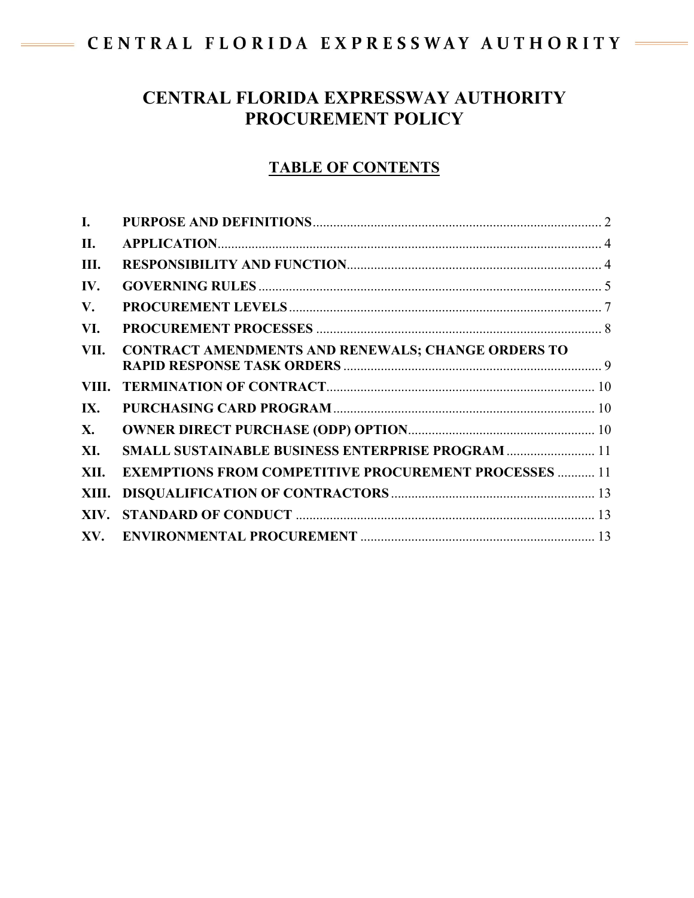# CENTRAL FLORIDA EXPRESSWAY AUTHORITY

# **CENTRAL FLORIDA EXPRESSWAY AUTHORITY PROCUREMENT POLICY**

# **TABLE OF CONTENTS**

| $\mathbf{I}$ . |                                                              |  |
|----------------|--------------------------------------------------------------|--|
| П.             |                                                              |  |
| Ш.             |                                                              |  |
| IV.            |                                                              |  |
| V.             |                                                              |  |
| VI.            |                                                              |  |
| VII.           | <b>CONTRACT AMENDMENTS AND RENEWALS; CHANGE ORDERS TO</b>    |  |
| VIII.          |                                                              |  |
| IX.            |                                                              |  |
| X.             |                                                              |  |
| XI.            | <b>SMALL SUSTAINABLE BUSINESS ENTERPRISE PROGRAM  11</b>     |  |
| XII.           | <b>EXEMPTIONS FROM COMPETITIVE PROCUREMENT PROCESSES  11</b> |  |
| XIII.          |                                                              |  |
| XIV.           |                                                              |  |
| XV.            |                                                              |  |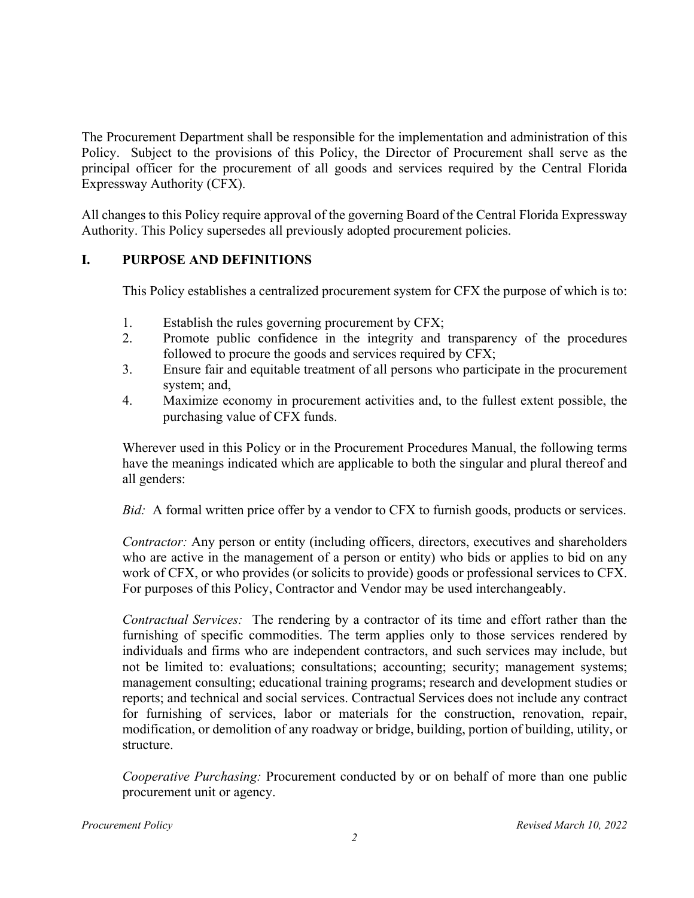The Procurement Department shall be responsible for the implementation and administration of this Policy. Subject to the provisions of this Policy, the Director of Procurement shall serve as the principal officer for the procurement of all goods and services required by the Central Florida Expressway Authority (CFX).

All changes to this Policy require approval of the governing Board of the Central Florida Expressway Authority. This Policy supersedes all previously adopted procurement policies.

## **I. PURPOSE AND DEFINITIONS**

This Policy establishes a centralized procurement system for CFX the purpose of which is to:

- 1. Establish the rules governing procurement by CFX;
- 2. Promote public confidence in the integrity and transparency of the procedures followed to procure the goods and services required by CFX;
- 3. Ensure fair and equitable treatment of all persons who participate in the procurement system; and,
- 4. Maximize economy in procurement activities and, to the fullest extent possible, the purchasing value of CFX funds.

Wherever used in this Policy or in the Procurement Procedures Manual, the following terms have the meanings indicated which are applicable to both the singular and plural thereof and all genders:

*Bid:* A formal written price offer by a vendor to CFX to furnish goods, products or services.

*Contractor:* Any person or entity (including officers, directors, executives and shareholders who are active in the management of a person or entity) who bids or applies to bid on any work of CFX, or who provides (or solicits to provide) goods or professional services to CFX. For purposes of this Policy, Contractor and Vendor may be used interchangeably.

*Contractual Services:* The rendering by a contractor of its time and effort rather than the furnishing of specific commodities. The term applies only to those services rendered by individuals and firms who are independent contractors, and such services may include, but not be limited to: evaluations; consultations; accounting; security; management systems; management consulting; educational training programs; research and development studies or reports; and technical and social services. Contractual Services does not include any contract for furnishing of services, labor or materials for the construction, renovation, repair, modification, or demolition of any roadway or bridge, building, portion of building, utility, or structure.

*Cooperative Purchasing:* Procurement conducted by or on behalf of more than one public procurement unit or agency.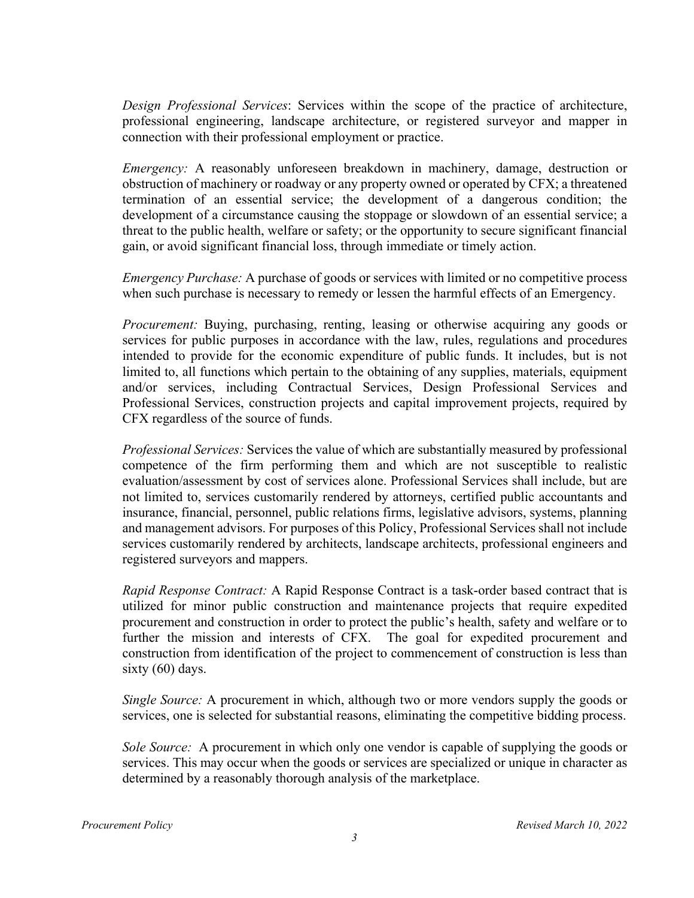*Design Professional Services*: Services within the scope of the practice of architecture, professional engineering, landscape architecture, or registered surveyor and mapper in connection with their professional employment or practice.

*Emergency:* A reasonably unforeseen breakdown in machinery, damage, destruction or obstruction of machinery or roadway or any property owned or operated by CFX; a threatened termination of an essential service; the development of a dangerous condition; the development of a circumstance causing the stoppage or slowdown of an essential service; a threat to the public health, welfare or safety; or the opportunity to secure significant financial gain, or avoid significant financial loss, through immediate or timely action.

*Emergency Purchase:* A purchase of goods or services with limited or no competitive process when such purchase is necessary to remedy or lessen the harmful effects of an Emergency.

*Procurement:* Buying, purchasing, renting, leasing or otherwise acquiring any goods or services for public purposes in accordance with the law, rules, regulations and procedures intended to provide for the economic expenditure of public funds. It includes, but is not limited to, all functions which pertain to the obtaining of any supplies, materials, equipment and/or services, including Contractual Services, Design Professional Services and Professional Services, construction projects and capital improvement projects, required by CFX regardless of the source of funds.

*Professional Services:* Services the value of which are substantially measured by professional competence of the firm performing them and which are not susceptible to realistic evaluation/assessment by cost of services alone. Professional Services shall include, but are not limited to, services customarily rendered by attorneys, certified public accountants and insurance, financial, personnel, public relations firms, legislative advisors, systems, planning and management advisors. For purposes of this Policy, Professional Services shall not include services customarily rendered by architects, landscape architects, professional engineers and registered surveyors and mappers.

*Rapid Response Contract:* A Rapid Response Contract is a task-order based contract that is utilized for minor public construction and maintenance projects that require expedited procurement and construction in order to protect the public's health, safety and welfare or to further the mission and interests of CFX. The goal for expedited procurement and construction from identification of the project to commencement of construction is less than sixty (60) days.

*Single Source:* A procurement in which, although two or more vendors supply the goods or services, one is selected for substantial reasons, eliminating the competitive bidding process.

*Sole Source:* A procurement in which only one vendor is capable of supplying the goods or services. This may occur when the goods or services are specialized or unique in character as determined by a reasonably thorough analysis of the marketplace.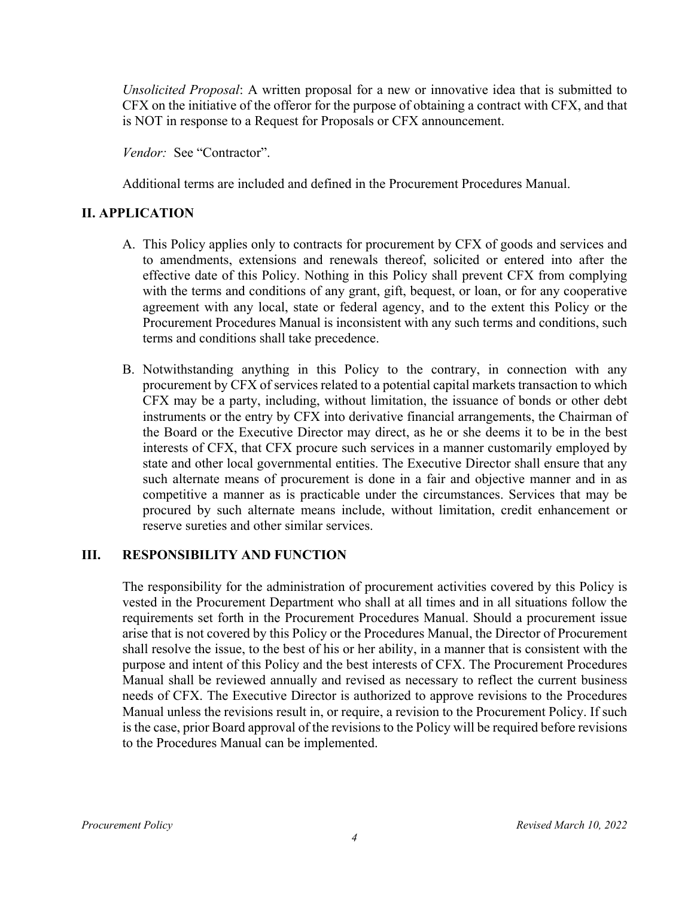*Unsolicited Proposal*: A written proposal for a new or innovative idea that is submitted to CFX on the initiative of the offeror for the purpose of obtaining a contract with CFX, and that is NOT in response to a Request for Proposals or CFX announcement.

*Vendor:* See "Contractor".

Additional terms are included and defined in the Procurement Procedures Manual.

#### **II. APPLICATION**

- A. This Policy applies only to contracts for procurement by CFX of goods and services and to amendments, extensions and renewals thereof, solicited or entered into after the effective date of this Policy. Nothing in this Policy shall prevent CFX from complying with the terms and conditions of any grant, gift, bequest, or loan, or for any cooperative agreement with any local, state or federal agency, and to the extent this Policy or the Procurement Procedures Manual is inconsistent with any such terms and conditions, such terms and conditions shall take precedence.
- B. Notwithstanding anything in this Policy to the contrary, in connection with any procurement by CFX of services related to a potential capital markets transaction to which CFX may be a party, including, without limitation, the issuance of bonds or other debt instruments or the entry by CFX into derivative financial arrangements, the Chairman of the Board or the Executive Director may direct, as he or she deems it to be in the best interests of CFX, that CFX procure such services in a manner customarily employed by state and other local governmental entities. The Executive Director shall ensure that any such alternate means of procurement is done in a fair and objective manner and in as competitive a manner as is practicable under the circumstances. Services that may be procured by such alternate means include, without limitation, credit enhancement or reserve sureties and other similar services.

#### **III. RESPONSIBILITY AND FUNCTION**

The responsibility for the administration of procurement activities covered by this Policy is vested in the Procurement Department who shall at all times and in all situations follow the requirements set forth in the Procurement Procedures Manual. Should a procurement issue arise that is not covered by this Policy or the Procedures Manual, the Director of Procurement shall resolve the issue, to the best of his or her ability, in a manner that is consistent with the purpose and intent of this Policy and the best interests of CFX. The Procurement Procedures Manual shall be reviewed annually and revised as necessary to reflect the current business needs of CFX. The Executive Director is authorized to approve revisions to the Procedures Manual unless the revisions result in, or require, a revision to the Procurement Policy. If such is the case, prior Board approval of the revisions to the Policy will be required before revisions to the Procedures Manual can be implemented.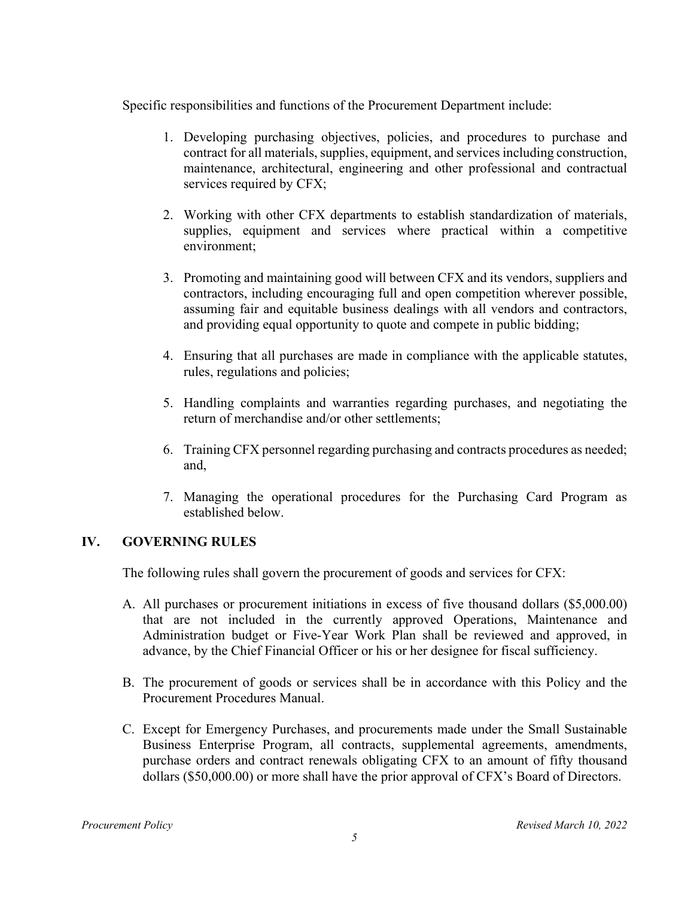Specific responsibilities and functions of the Procurement Department include:

- 1. Developing purchasing objectives, policies, and procedures to purchase and contract for all materials, supplies, equipment, and services including construction, maintenance, architectural, engineering and other professional and contractual services required by CFX;
- 2. Working with other CFX departments to establish standardization of materials, supplies, equipment and services where practical within a competitive environment;
- 3. Promoting and maintaining good will between CFX and its vendors, suppliers and contractors, including encouraging full and open competition wherever possible, assuming fair and equitable business dealings with all vendors and contractors, and providing equal opportunity to quote and compete in public bidding;
- 4. Ensuring that all purchases are made in compliance with the applicable statutes, rules, regulations and policies;
- 5. Handling complaints and warranties regarding purchases, and negotiating the return of merchandise and/or other settlements;
- 6. Training CFX personnel regarding purchasing and contracts procedures as needed; and,
- 7. Managing the operational procedures for the Purchasing Card Program as established below.

#### **IV. GOVERNING RULES**

The following rules shall govern the procurement of goods and services for CFX:

- A. All purchases or procurement initiations in excess of five thousand dollars (\$5,000.00) that are not included in the currently approved Operations, Maintenance and Administration budget or Five-Year Work Plan shall be reviewed and approved, in advance, by the Chief Financial Officer or his or her designee for fiscal sufficiency.
- B. The procurement of goods or services shall be in accordance with this Policy and the Procurement Procedures Manual.
- C. Except for Emergency Purchases, and procurements made under the Small Sustainable Business Enterprise Program, all contracts, supplemental agreements, amendments, purchase orders and contract renewals obligating CFX to an amount of fifty thousand dollars (\$50,000.00) or more shall have the prior approval of CFX's Board of Directors.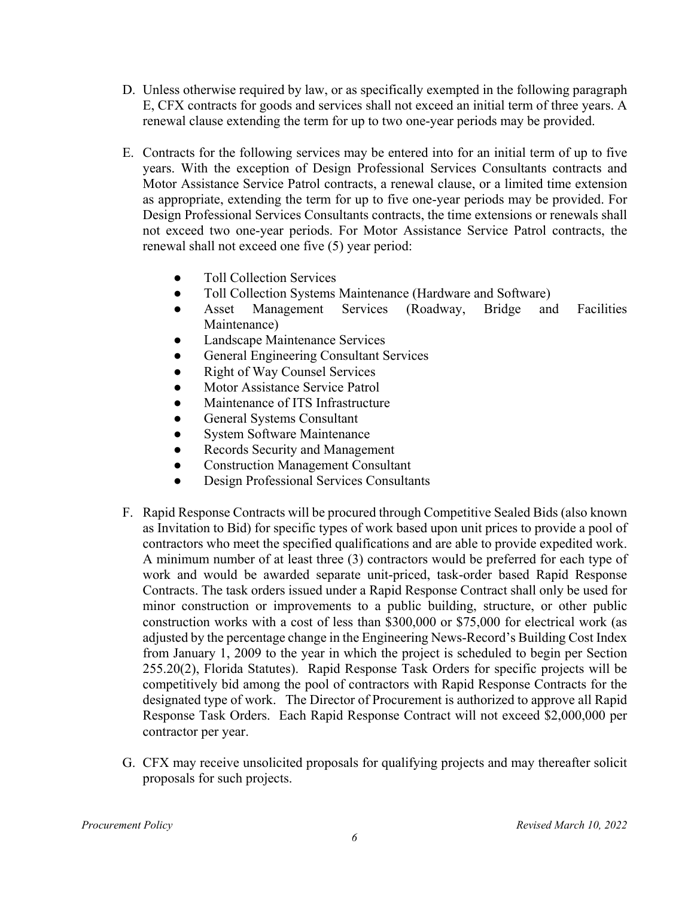- D. Unless otherwise required by law, or as specifically exempted in the following paragraph E, CFX contracts for goods and services shall not exceed an initial term of three years. A renewal clause extending the term for up to two one-year periods may be provided.
- E. Contracts for the following services may be entered into for an initial term of up to five years. With the exception of Design Professional Services Consultants contracts and Motor Assistance Service Patrol contracts, a renewal clause, or a limited time extension as appropriate, extending the term for up to five one-year periods may be provided. For Design Professional Services Consultants contracts, the time extensions or renewals shall not exceed two one-year periods. For Motor Assistance Service Patrol contracts, the renewal shall not exceed one five (5) year period:
	- Toll Collection Services
	- Toll Collection Systems Maintenance (Hardware and Software)
	- Asset Management Services (Roadway, Bridge and Facilities Maintenance)
	- Landscape Maintenance Services
	- General Engineering Consultant Services
	- Right of Way Counsel Services
	- Motor Assistance Service Patrol
	- Maintenance of ITS Infrastructure
	- General Systems Consultant
	- System Software Maintenance
	- Records Security and Management
	- Construction Management Consultant
	- Design Professional Services Consultants
- F. Rapid Response Contracts will be procured through Competitive Sealed Bids (also known as Invitation to Bid) for specific types of work based upon unit prices to provide a pool of contractors who meet the specified qualifications and are able to provide expedited work. A minimum number of at least three (3) contractors would be preferred for each type of work and would be awarded separate unit-priced, task-order based Rapid Response Contracts. The task orders issued under a Rapid Response Contract shall only be used for minor construction or improvements to a public building, structure, or other public construction works with a cost of less than \$300,000 or \$75,000 for electrical work (as adjusted by the percentage change in the Engineering News-Record's Building Cost Index from January 1, 2009 to the year in which the project is scheduled to begin per Section 255.20(2), Florida Statutes). Rapid Response Task Orders for specific projects will be competitively bid among the pool of contractors with Rapid Response Contracts for the designated type of work. The Director of Procurement is authorized to approve all Rapid Response Task Orders. Each Rapid Response Contract will not exceed \$2,000,000 per contractor per year.
- G. CFX may receive unsolicited proposals for qualifying projects and may thereafter solicit proposals for such projects.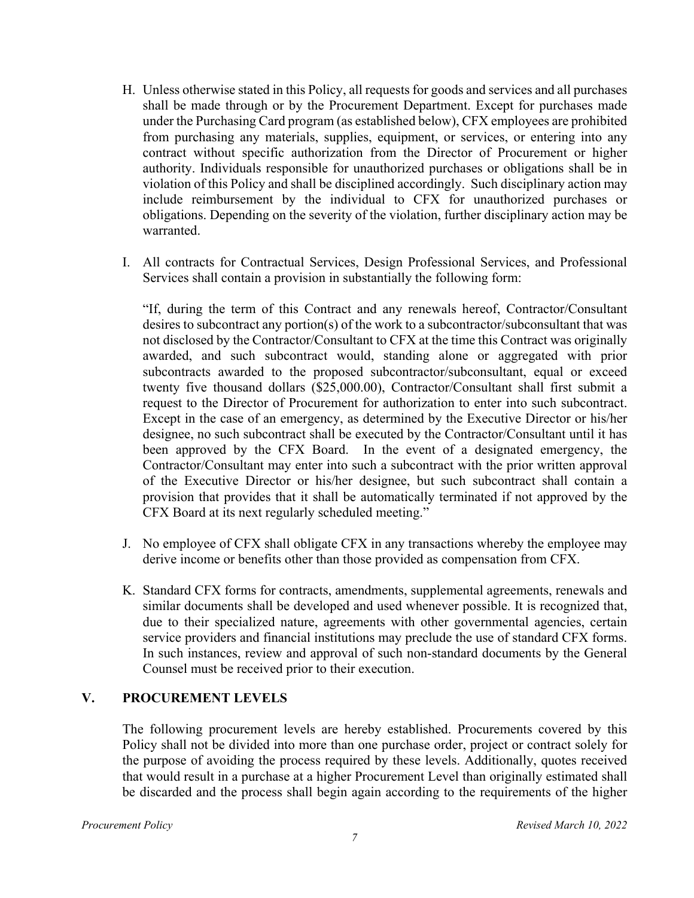- H. Unless otherwise stated in this Policy, all requests for goods and services and all purchases shall be made through or by the Procurement Department. Except for purchases made under the Purchasing Card program (as established below), CFX employees are prohibited from purchasing any materials, supplies, equipment, or services, or entering into any contract without specific authorization from the Director of Procurement or higher authority. Individuals responsible for unauthorized purchases or obligations shall be in violation of this Policy and shall be disciplined accordingly. Such disciplinary action may include reimbursement by the individual to CFX for unauthorized purchases or obligations. Depending on the severity of the violation, further disciplinary action may be warranted.
- I. All contracts for Contractual Services, Design Professional Services, and Professional Services shall contain a provision in substantially the following form:

"If, during the term of this Contract and any renewals hereof, Contractor/Consultant desires to subcontract any portion(s) of the work to a subcontractor/subconsultant that was not disclosed by the Contractor/Consultant to CFX at the time this Contract was originally awarded, and such subcontract would, standing alone or aggregated with prior subcontracts awarded to the proposed subcontractor/subconsultant, equal or exceed twenty five thousand dollars (\$25,000.00), Contractor/Consultant shall first submit a request to the Director of Procurement for authorization to enter into such subcontract. Except in the case of an emergency, as determined by the Executive Director or his/her designee, no such subcontract shall be executed by the Contractor/Consultant until it has been approved by the CFX Board. In the event of a designated emergency, the Contractor/Consultant may enter into such a subcontract with the prior written approval of the Executive Director or his/her designee, but such subcontract shall contain a provision that provides that it shall be automatically terminated if not approved by the CFX Board at its next regularly scheduled meeting."

- J. No employee of CFX shall obligate CFX in any transactions whereby the employee may derive income or benefits other than those provided as compensation from CFX.
- K. Standard CFX forms for contracts, amendments, supplemental agreements, renewals and similar documents shall be developed and used whenever possible. It is recognized that, due to their specialized nature, agreements with other governmental agencies, certain service providers and financial institutions may preclude the use of standard CFX forms. In such instances, review and approval of such non-standard documents by the General Counsel must be received prior to their execution.

#### **V. PROCUREMENT LEVELS**

The following procurement levels are hereby established. Procurements covered by this Policy shall not be divided into more than one purchase order, project or contract solely for the purpose of avoiding the process required by these levels. Additionally, quotes received that would result in a purchase at a higher Procurement Level than originally estimated shall be discarded and the process shall begin again according to the requirements of the higher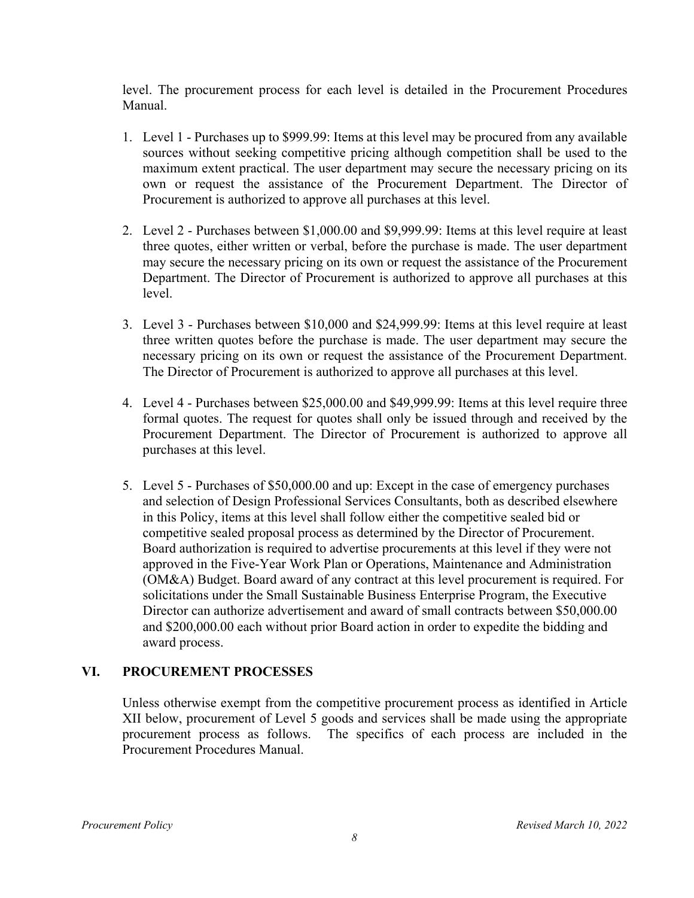level. The procurement process for each level is detailed in the Procurement Procedures Manual.

- 1. Level 1 Purchases up to \$999.99: Items at this level may be procured from any available sources without seeking competitive pricing although competition shall be used to the maximum extent practical. The user department may secure the necessary pricing on its own or request the assistance of the Procurement Department. The Director of Procurement is authorized to approve all purchases at this level.
- 2. Level 2 Purchases between \$1,000.00 and \$9,999.99: Items at this level require at least three quotes, either written or verbal, before the purchase is made. The user department may secure the necessary pricing on its own or request the assistance of the Procurement Department. The Director of Procurement is authorized to approve all purchases at this level.
- 3. Level 3 Purchases between \$10,000 and \$24,999.99: Items at this level require at least three written quotes before the purchase is made. The user department may secure the necessary pricing on its own or request the assistance of the Procurement Department. The Director of Procurement is authorized to approve all purchases at this level.
- 4. Level 4 Purchases between \$25,000.00 and \$49,999.99: Items at this level require three formal quotes. The request for quotes shall only be issued through and received by the Procurement Department. The Director of Procurement is authorized to approve all purchases at this level.
- 5. Level 5 Purchases of \$50,000.00 and up: Except in the case of emergency purchases and selection of Design Professional Services Consultants, both as described elsewhere in this Policy, items at this level shall follow either the competitive sealed bid or competitive sealed proposal process as determined by the Director of Procurement. Board authorization is required to advertise procurements at this level if they were not approved in the Five-Year Work Plan or Operations, Maintenance and Administration (OM&A) Budget. Board award of any contract at this level procurement is required. For solicitations under the Small Sustainable Business Enterprise Program, the Executive Director can authorize advertisement and award of small contracts between \$50,000.00 and \$200,000.00 each without prior Board action in order to expedite the bidding and award process.

#### **VI. PROCUREMENT PROCESSES**

Unless otherwise exempt from the competitive procurement process as identified in Article XII below, procurement of Level 5 goods and services shall be made using the appropriate procurement process as follows. The specifics of each process are included in the Procurement Procedures Manual.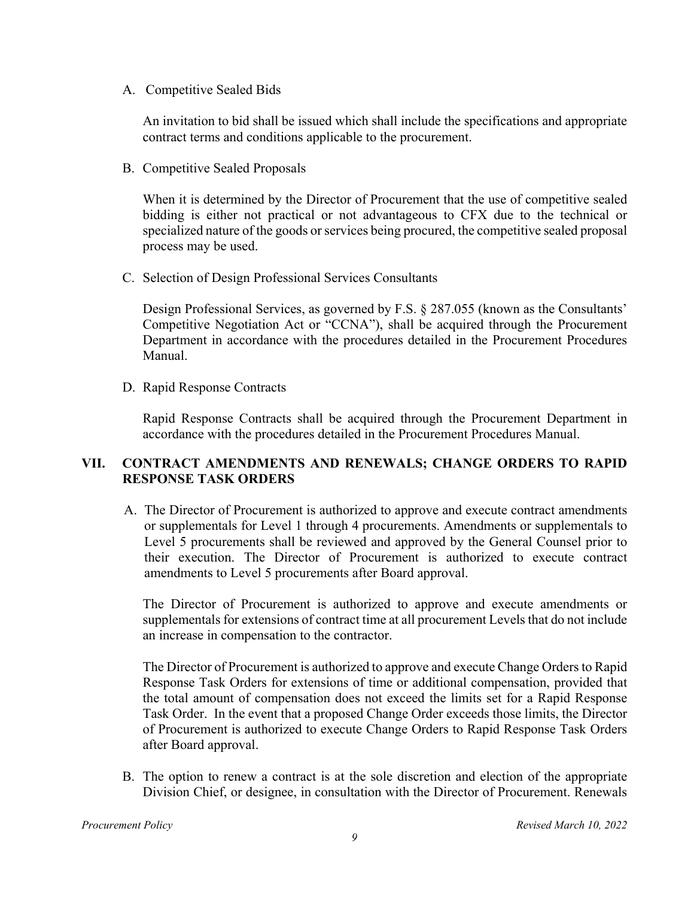A. Competitive Sealed Bids

An invitation to bid shall be issued which shall include the specifications and appropriate contract terms and conditions applicable to the procurement.

B. Competitive Sealed Proposals

When it is determined by the Director of Procurement that the use of competitive sealed bidding is either not practical or not advantageous to CFX due to the technical or specialized nature of the goods or services being procured, the competitive sealed proposal process may be used.

C. Selection of Design Professional Services Consultants

Design Professional Services, as governed by F.S. § 287.055 (known as the Consultants' Competitive Negotiation Act or "CCNA"), shall be acquired through the Procurement Department in accordance with the procedures detailed in the Procurement Procedures Manual.

D. Rapid Response Contracts

Rapid Response Contracts shall be acquired through the Procurement Department in accordance with the procedures detailed in the Procurement Procedures Manual.

## **VII. CONTRACT AMENDMENTS AND RENEWALS; CHANGE ORDERS TO RAPID RESPONSE TASK ORDERS**

A. The Director of Procurement is authorized to approve and execute contract amendments or supplementals for Level 1 through 4 procurements. Amendments or supplementals to Level 5 procurements shall be reviewed and approved by the General Counsel prior to their execution. The Director of Procurement is authorized to execute contract amendments to Level 5 procurements after Board approval.

 The Director of Procurement is authorized to approve and execute amendments or supplementals for extensions of contract time at all procurement Levels that do not include an increase in compensation to the contractor.

 The Director of Procurement is authorized to approve and execute Change Orders to Rapid Response Task Orders for extensions of time or additional compensation, provided that the total amount of compensation does not exceed the limits set for a Rapid Response Task Order. In the event that a proposed Change Order exceeds those limits, the Director of Procurement is authorized to execute Change Orders to Rapid Response Task Orders after Board approval.

B. The option to renew a contract is at the sole discretion and election of the appropriate Division Chief, or designee, in consultation with the Director of Procurement. Renewals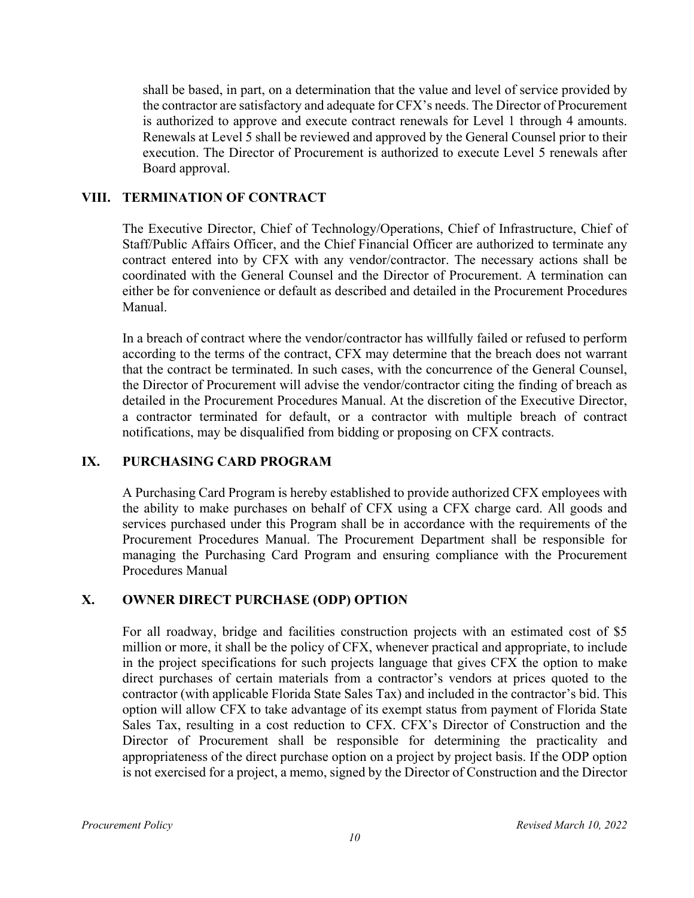shall be based, in part, on a determination that the value and level of service provided by the contractor are satisfactory and adequate for CFX's needs. The Director of Procurement is authorized to approve and execute contract renewals for Level 1 through 4 amounts. Renewals at Level 5 shall be reviewed and approved by the General Counsel prior to their execution. The Director of Procurement is authorized to execute Level 5 renewals after Board approval.

#### **VIII. TERMINATION OF CONTRACT**

The Executive Director, Chief of Technology/Operations, Chief of Infrastructure, Chief of Staff/Public Affairs Officer, and the Chief Financial Officer are authorized to terminate any contract entered into by CFX with any vendor/contractor. The necessary actions shall be coordinated with the General Counsel and the Director of Procurement. A termination can either be for convenience or default as described and detailed in the Procurement Procedures Manual.

In a breach of contract where the vendor/contractor has willfully failed or refused to perform according to the terms of the contract, CFX may determine that the breach does not warrant that the contract be terminated. In such cases, with the concurrence of the General Counsel, the Director of Procurement will advise the vendor/contractor citing the finding of breach as detailed in the Procurement Procedures Manual. At the discretion of the Executive Director, a contractor terminated for default, or a contractor with multiple breach of contract notifications, may be disqualified from bidding or proposing on CFX contracts.

# **IX. PURCHASING CARD PROGRAM**

A Purchasing Card Program is hereby established to provide authorized CFX employees with the ability to make purchases on behalf of CFX using a CFX charge card. All goods and services purchased under this Program shall be in accordance with the requirements of the Procurement Procedures Manual. The Procurement Department shall be responsible for managing the Purchasing Card Program and ensuring compliance with the Procurement Procedures Manual

#### **X. OWNER DIRECT PURCHASE (ODP) OPTION**

For all roadway, bridge and facilities construction projects with an estimated cost of \$5 million or more, it shall be the policy of CFX, whenever practical and appropriate, to include in the project specifications for such projects language that gives CFX the option to make direct purchases of certain materials from a contractor's vendors at prices quoted to the contractor (with applicable Florida State Sales Tax) and included in the contractor's bid. This option will allow CFX to take advantage of its exempt status from payment of Florida State Sales Tax, resulting in a cost reduction to CFX. CFX's Director of Construction and the Director of Procurement shall be responsible for determining the practicality and appropriateness of the direct purchase option on a project by project basis. If the ODP option is not exercised for a project, a memo, signed by the Director of Construction and the Director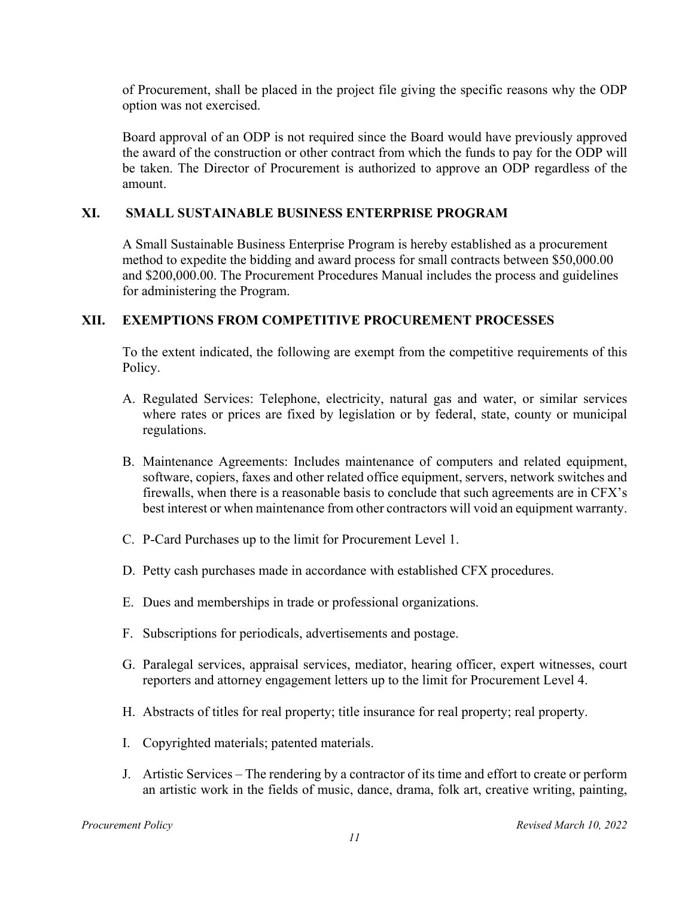of Procurement, shall be placed in the project file giving the specific reasons why the ODP option was not exercised.

Board approval of an ODP is not required since the Board would have previously approved the award of the construction or other contract from which the funds to pay for the ODP will be taken. The Director of Procurement is authorized to approve an ODP regardless of the amount.

#### **XI. SMALL SUSTAINABLE BUSINESS ENTERPRISE PROGRAM**

A Small Sustainable Business Enterprise Program is hereby established as a procurement method to expedite the bidding and award process for small contracts between \$50,000.00 and \$200,000.00. The Procurement Procedures Manual includes the process and guidelines for administering the Program.

#### **XII. EXEMPTIONS FROM COMPETITIVE PROCUREMENT PROCESSES**

To the extent indicated, the following are exempt from the competitive requirements of this Policy.

- A. Regulated Services: Telephone, electricity, natural gas and water, or similar services where rates or prices are fixed by legislation or by federal, state, county or municipal regulations.
- B. Maintenance Agreements: Includes maintenance of computers and related equipment, software, copiers, faxes and other related office equipment, servers, network switches and firewalls, when there is a reasonable basis to conclude that such agreements are in CFX's best interest or when maintenance from other contractors will void an equipment warranty.
- C. P-Card Purchases up to the limit for Procurement Level 1.
- D. Petty cash purchases made in accordance with established CFX procedures.
- E. Dues and memberships in trade or professional organizations.
- F. Subscriptions for periodicals, advertisements and postage.
- G. Paralegal services, appraisal services, mediator, hearing officer, expert witnesses, court reporters and attorney engagement letters up to the limit for Procurement Level 4.
- H. Abstracts of titles for real property; title insurance for real property; real property.
- I. Copyrighted materials; patented materials.
- J. Artistic Services The rendering by a contractor of its time and effort to create or perform an artistic work in the fields of music, dance, drama, folk art, creative writing, painting,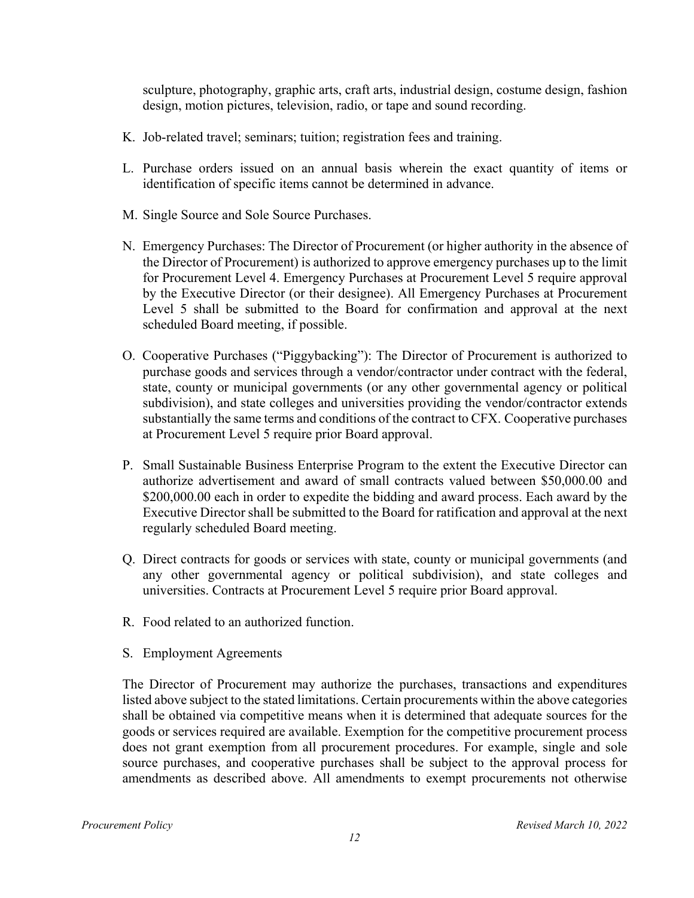sculpture, photography, graphic arts, craft arts, industrial design, costume design, fashion design, motion pictures, television, radio, or tape and sound recording.

- K. Job-related travel; seminars; tuition; registration fees and training.
- L. Purchase orders issued on an annual basis wherein the exact quantity of items or identification of specific items cannot be determined in advance.
- M. Single Source and Sole Source Purchases.
- N. Emergency Purchases: The Director of Procurement (or higher authority in the absence of the Director of Procurement) is authorized to approve emergency purchases up to the limit for Procurement Level 4. Emergency Purchases at Procurement Level 5 require approval by the Executive Director (or their designee). All Emergency Purchases at Procurement Level 5 shall be submitted to the Board for confirmation and approval at the next scheduled Board meeting, if possible.
- O. Cooperative Purchases ("Piggybacking"): The Director of Procurement is authorized to purchase goods and services through a vendor/contractor under contract with the federal, state, county or municipal governments (or any other governmental agency or political subdivision), and state colleges and universities providing the vendor/contractor extends substantially the same terms and conditions of the contract to CFX. Cooperative purchases at Procurement Level 5 require prior Board approval.
- P. Small Sustainable Business Enterprise Program to the extent the Executive Director can authorize advertisement and award of small contracts valued between \$50,000.00 and \$200,000.00 each in order to expedite the bidding and award process. Each award by the Executive Director shall be submitted to the Board for ratification and approval at the next regularly scheduled Board meeting.
- Q. Direct contracts for goods or services with state, county or municipal governments (and any other governmental agency or political subdivision), and state colleges and universities. Contracts at Procurement Level 5 require prior Board approval.
- R. Food related to an authorized function.
- S. Employment Agreements

The Director of Procurement may authorize the purchases, transactions and expenditures listed above subject to the stated limitations. Certain procurements within the above categories shall be obtained via competitive means when it is determined that adequate sources for the goods or services required are available. Exemption for the competitive procurement process does not grant exemption from all procurement procedures. For example, single and sole source purchases, and cooperative purchases shall be subject to the approval process for amendments as described above. All amendments to exempt procurements not otherwise